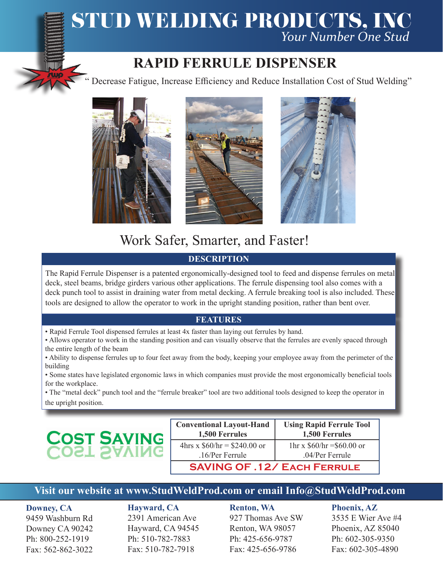## STUD WELDING PRODUCTS, INC *Your Number One Stud*

## **RAPID FERRULE DISPENSER**

Decrease Fatigue, Increase Efficiency and Reduce Installation Cost of Stud Welding"







# Work Safer, Smarter, and Faster!

### **DESCRIPTION**

The Rapid Ferrule Dispenser is a patented ergonomically-designed tool to feed and dispense ferrules on metal deck, steel beams, bridge girders various other applications. The ferrule dispensing tool also comes with a deck punch tool to assist in draining water from metal decking. A ferrule breaking tool is also included. These tools are designed to allow the operator to work in the upright standing position, rather than bent over.

### **FEATURES**

• Rapid Ferrule Tool dispensed ferrules at least 4x faster than laying out ferrules by hand.

• Allows operator to work in the standing position and can visually observe that the ferrules are evenly spaced through the entire length of the beam

• Ability to dispense ferrules up to four feet away from the body, keeping your employee away from the perimeter of the building

• Some states have legislated ergonomic laws in which companies must provide the most ergonomically beneficial tools for the workplace.

• The "metal deck" punch tool and the "ferrule breaker" tool are two additional tools designed to keep the operator in the upright position.



| <b>Conventional Layout-Hand</b><br>1,500 Ferrules | <b>Using Rapid Ferrule Tool</b><br>1,500 Ferrules |
|---------------------------------------------------|---------------------------------------------------|
| 4hrs x $$60/hr = $240.00$ or                      | 1hr x $$60/hr = $60.00$ or                        |
| .16/Per Ferrule                                   | .04/Per Ferrule                                   |
| <b>SAVING OF .12/ EACH FERRULE</b>                |                                                   |

### **Visit our website at www.StudWeldProd.com or email Info@StudWeldProd.com**

**Downey, CA**

9459 Washburn Rd Downey CA 90242 Ph: 800-252-1919 Fax: 562-862-3022

**Hayward, CA**

2391 American Ave Hayward, CA 94545 Ph: 510-782-7883 Fax: 510-782-7918

#### **Renton, WA**

927 Thomas Ave SW Renton, WA 98057 Ph: 425-656-9787 Fax: 425-656-9786

**Phoenix, AZ**

3535 E Wier Ave #4 Phoenix, AZ 85040 Ph: 602-305-9350 Fax: 602-305-4890